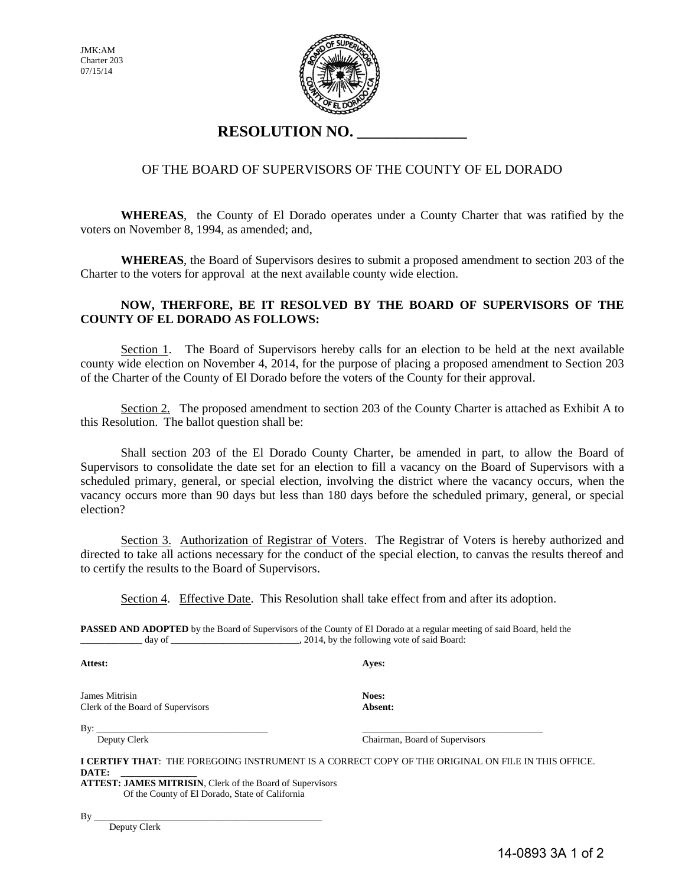JMK:AM Charter 203 07/15/14



## **RESOLUTION NO. \_\_\_\_\_\_\_\_\_\_\_\_\_\_**

### OF THE BOARD OF SUPERVISORS OF THE COUNTY OF EL DORADO

**WHEREAS**, the County of El Dorado operates under a County Charter that was ratified by the voters on November 8, 1994, as amended; and,

 **WHEREAS**, the Board of Supervisors desires to submit a proposed amendment to section 203 of the Charter to the voters for approval at the next available county wide election.

#### **NOW, THERFORE, BE IT RESOLVED BY THE BOARD OF SUPERVISORS OF THE COUNTY OF EL DORADO AS FOLLOWS:**

Section 1. The Board of Supervisors hereby calls for an election to be held at the next available county wide election on November 4, 2014, for the purpose of placing a proposed amendment to Section 203 of the Charter of the County of El Dorado before the voters of the County for their approval.

 Section 2. The proposed amendment to section 203 of the County Charter is attached as Exhibit A to this Resolution. The ballot question shall be:

 Shall section 203 of the El Dorado County Charter, be amended in part, to allow the Board of Supervisors to consolidate the date set for an election to fill a vacancy on the Board of Supervisors with a scheduled primary, general, or special election, involving the district where the vacancy occurs, when the vacancy occurs more than 90 days but less than 180 days before the scheduled primary, general, or special election?

Section 3. Authorization of Registrar of Voters. The Registrar of Voters is hereby authorized and directed to take all actions necessary for the conduct of the special election, to canvas the results thereof and to certify the results to the Board of Supervisors.

Section 4. Effective Date. This Resolution shall take effect from and after its adoption.

**PASSED AND ADOPTED** by the Board of Supervisors of the County of El Dorado at a regular meeting of said Board, held the \_\_\_\_\_\_\_\_\_\_\_\_\_ day of \_\_\_\_\_\_\_\_\_\_\_\_\_\_\_\_\_\_\_\_\_\_\_\_\_\_\_, 2014, by the following vote of said Board:

**Attest: Ayes:** 

James Mitrisin **Noes:**<br>Clerk of the Board of Supervisors **Absent:** Clerk of the Board of Supervisors

By: \_\_\_\_\_\_\_\_\_\_\_\_\_\_\_\_\_\_\_\_\_\_\_\_\_\_\_\_\_\_\_\_\_\_\_\_ \_\_\_\_\_\_\_\_\_\_\_\_\_\_\_\_\_\_\_\_\_\_\_\_\_\_\_\_\_\_\_\_\_\_\_\_\_\_

Deputy Clerk Chairman, Board of Supervisors

**I CERTIFY THAT**: THE FOREGOING INSTRUMENT IS A CORRECT COPY OF THE ORIGINAL ON FILE IN THIS OFFICE.  $\mathbf{DATE:}$ 

**ATTEST: JAMES MITRISIN**, Clerk of the Board of Supervisors Of the County of El Dorado, State of California

By \_\_\_\_\_\_\_\_\_\_\_\_\_\_\_\_\_\_\_\_\_\_\_\_\_\_\_\_\_\_\_\_\_\_\_\_\_\_\_\_\_\_\_\_\_\_\_\_

Deputy Clerk